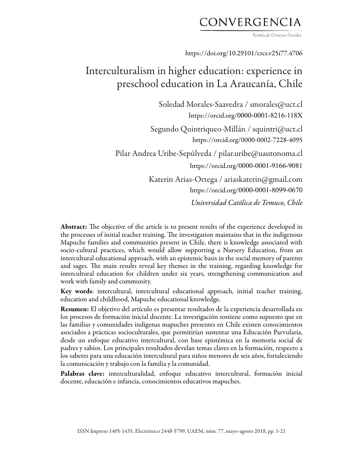## CONVERGENCIA

Revista de Ciencias Sociales

https://doi.org/10.29101/crcs.v25i77.4706

# Interculturalism in higher education: experience in preschool education in La Araucanía, Chile

Soledad Morales-Saavedra / smorales@uct.cl https://orcid.org/0000-0001-8216-118X Segundo Quintriqueo-Millán / squintri@uct.cl https://orcid.org/0000-0002-7228-4095 Pilar Andrea Uribe-Sepúlveda / pilar.uribe@uautonoma.cl https://orcid.org/0000-0001-9166-9081 Katerin Arias-Ortega / ariaskaterin@gmail.com https://orcid.org/0000-0001-8099-0670 *Universidad Católica de Temuco, Chile*

Abstract: The objective of the article is to present results of the experience developed in the processes of initial teacher training. The investigation maintains that in the indigenous Mapuche families and communities present in Chile, there is knowledge associated with socio-cultural practices, which would allow supporting a Nursery Education, from an intercultural educational approach, with an epistemic basis in the social memory of parents and sages. The main results reveal key themes in the training, regarding knowledge for intercultural education for children under six years, strengthening communication and work with family and community.

Key words: intercultural, intercultural educational approach, initial teacher training, education and childhood, Mapuche educational knowledge.

Resumen: El objetivo del artículo es presentar resultados de la experiencia desarrollada en los procesos de formación inicial docente. La investigación sostiene como supuesto que en las familias y comunidades indígenas mapuches presentes en Chile existen conocimientos asociados a prácticas socioculturales, que permitirían sustentar una Educación Parvularia, desde un enfoque educativo intercultural, con base epistémica en la memoria social de padres y sabios. Los principales resultados develan temas claves en la formación, respecto a los saberes para una educación intercultural para niños menores de seis años, fortaleciendo la comunicación y trabajo con la familia y la comunidad.

Palabras clave: interculturalidad, enfoque educativo intercultural, formación inicial docente, educación e infancia, conocimientos educativos mapuches.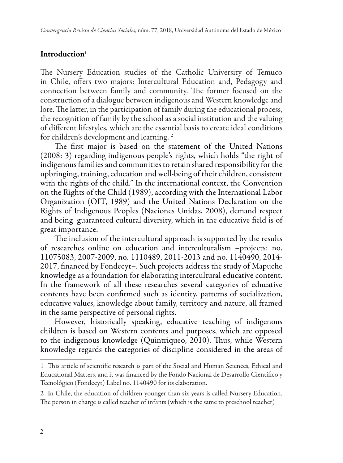### Introduction**<sup>1</sup>**

The Nursery Education studies of the Catholic University of Temuco in Chile, offers two majors: Intercultural Education and, Pedagogy and connection between family and community. The former focused on the construction of a dialogue between indigenous and Western knowledge and lore. The latter, in the participation of family during the educational process, the recognition of family by the school as a social institution and the valuing of different lifestyles, which are the essential basis to create ideal conditions for children's development and learning. 2

The first major is based on the statement of the United Nations (2008: 3) regarding indigenous people's rights, which holds "the right of indigenous families and communities to retain shared responsibility for the upbringing, training, education and well-being of their children, consistent with the rights of the child." In the international context, the Convention on the Rights of the Child (1989), according with the International Labor Organization (OIT, 1989) and the United Nations Declaration on the Rights of Indigenous Peoples (Naciones Unidas, 2008), demand respect and being guaranteed cultural diversity, which in the educative field is of great importance.

The inclusion of the intercultural approach is supported by the results of researches online on education and interculturalism –projects: no. 11075083, 2007-2009, no. 1110489, 2011-2013 and no. 1140490, 2014- 2017, financed by Fondecyt–. Such projects address the study of Mapuche knowledge as a foundation for elaborating intercultural educative content. In the framework of all these researches several categories of educative contents have been confirmed such as identity, patterns of socialization, educative values, knowledge about family, territory and nature, all framed in the same perspective of personal rights.

However, historically speaking, educative teaching of indigenous children is based on Western contents and purposes, which are opposed to the indigenous knowledge (Quintriqueo, 2010). Thus, while Western knowledge regards the categories of discipline considered in the areas of

<sup>1</sup> This article of scientific research is part of the Social and Human Sciences, Ethical and Educational Matters, and it was financed by the Fondo Nacional de Desarrollo Científico y Tecnológico (Fondecyt) Label no. 1140490 for its elaboration.

<sup>2</sup> In Chile, the education of children younger than six years is called Nursery Education. The person in charge is called teacher of infants (which is the same to preschool teacher)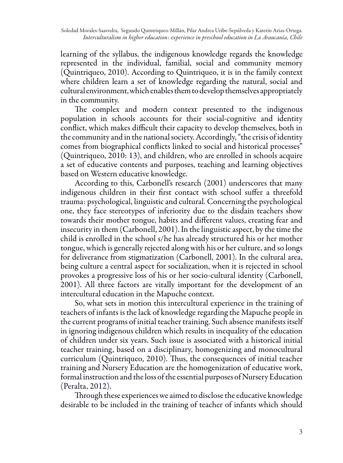learning of the syllabus, the indigenous knowledge regards the knowledge represented in the individual, familial, social and community memory (Quintriqueo, 2010). According to Quintriqueo, it is in the family context where children learn a set of knowledge regarding the natural, social and cultural environment, which enables them to develop themselves appropriately in the community.

The complex and modern context presented to the indigenous population in schools accounts for their social-cognitive and identity conflict, which makes difficult their capacity to develop themselves, both in the community and in the national society. Accordingly, "the crisis of identity comes from biographical conflicts linked to social and historical processes" (Quintriqueo, 2010: 13), and children, who are enrolled in schools acquire a set of educative contents and purposes, teaching and learning objectives based on Western educative knowledge.

According to this, Carbonell's research (2001) underscores that many indigenous children in their first contact with school suffer a threefold trauma: psychological, linguistic and cultural. Concerning the psychological one, they face stereotypes of inferiority due to the disdain teachers show towards their mother tongue, habits and different values, creating fear and insecurity in them (Carbonell, 2001). In the linguistic aspect, by the time the child is enrolled in the school s/he has already structured his or her mother tongue, which is generally rejected along with his or her culture, and so longs for deliverance from stigmatization (Carbonell, 2001). In the cultural area, being culture a central aspect for socialization, when it is rejected in school provokes a progressive loss of his or her socio-cultural identity (Carbonell, 2001). All three factors are vitally important for the development of an intercultural education in the Mapuche context.

So, what sets in motion this intercultural experience in the training of teachers of infants is the lack of knowledge regarding the Mapuche people in the current programs of initial teacher training. Such absence manifests itself in ignoring indigenous children which results in inequality of the education of children under six years. Such issue is associated with a historical initial teacher training, based on a disciplinary, homogenizing and monocultural curriculum (Quintriqueo, 2010). Thus, the consequences of initial teacher training and Nursery Education are the homogenization of educative work, formal instruction and the loss of the essential purposes of Nursery Education (Peralta, 2012).

Through these experiences we aimed to disclose the educative knowledge desirable to be included in the training of teacher of infants which should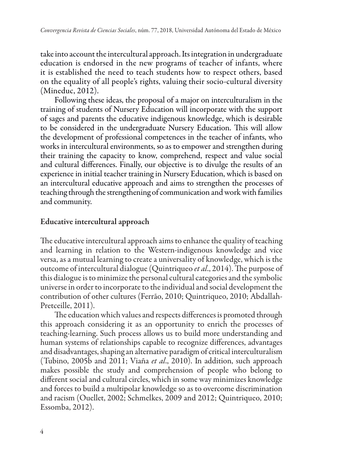take into account the intercultural approach. Its integration in undergraduate education is endorsed in the new programs of teacher of infants, where it is established the need to teach students how to respect others, based on the equality of all people's rights, valuing their socio-cultural diversity (Mineduc, 2012).

Following these ideas, the proposal of a major on interculturalism in the training of students of Nursery Education will incorporate with the support of sages and parents the educative indigenous knowledge, which is desirable to be considered in the undergraduate Nursery Education. This will allow the development of professional competences in the teacher of infants, who works in intercultural environments, so as to empower and strengthen during their training the capacity to know, comprehend, respect and value social and cultural differences. Finally, our objective is to divulge the results of an experience in initial teacher training in Nursery Education, which is based on an intercultural educative approach and aims to strengthen the processes of teaching through the strengthening of communication and work with families and community.

### Educative intercultural approach

The educative intercultural approach aims to enhance the quality of teaching and learning in relation to the Western-indigenous knowledge and vice versa, as a mutual learning to create a universality of knowledge, which is the outcome of intercultural dialogue (Quintriqueo *et al*., 2014). The purpose of this dialogue is to minimize the personal cultural categories and the symbolic universe in order to incorporate to the individual and social development the contribution of other cultures (Ferrão, 2010; Quintriqueo, 2010; Abdallah-Pretceille, 2011).

The education which values and respects differences is promoted through this approach considering it as an opportunity to enrich the processes of teaching-learning. Such process allows us to build more understanding and human systems of relationships capable to recognize differences, advantages and disadvantages, shaping an alternative paradigm of critical interculturalism (Tubino, 2005b and 2011; Viaña *et al*., 2010). In addition, such approach makes possible the study and comprehension of people who belong to different social and cultural circles, which in some way minimizes knowledge and forces to build a multipolar knowledge so as to overcome discrimination and racism (Ouellet, 2002; Schmelkes, 2009 and 2012; Quintriqueo, 2010; Essomba, 2012).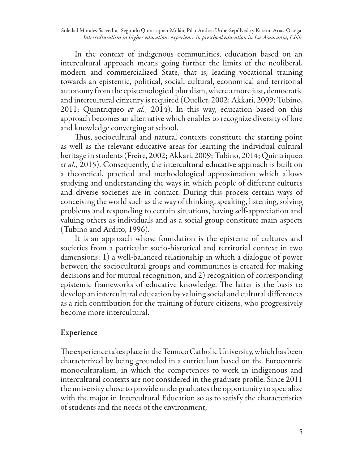In the context of indigenous communities, education based on an intercultural approach means going further the limits of the neoliberal, modern and commercialized State, that is, leading vocational training towards an epistemic, political, social, cultural, economical and territorial autonomy from the epistemological pluralism, where a more just, democratic and intercultural citizenry is required (Ouellet, 2002; Akkari, 2009; Tubino, 2011; Quintriqueo *et al.,* 2014). In this way, education based on this approach becomes an alternative which enables to recognize diversity of lore and knowledge converging at school.

Thus, sociocultural and natural contexts constitute the starting point as well as the relevant educative areas for learning the individual cultural heritage in students (Freire, 2002; Akkari, 2009; Tubino, 2014; Quintriqueo *et al.,* 2015). Consequently, the intercultural educative approach is built on a theoretical, practical and methodological approximation which allows studying and understanding the ways in which people of different cultures and diverse societies are in contact. During this process certain ways of conceiving the world such as the way of thinking, speaking, listening, solving problems and responding to certain situations, having self-appreciation and valuing others as individuals and as a social group constitute main aspects (Tubino and Ardito, 1996).

It is an approach whose foundation is the episteme of cultures and societies from a particular socio-historical and territorial context in two dimensions: 1) a well-balanced relationship in which a dialogue of power between the sociocultural groups and communities is created for making decisions and for mutual recognition, and 2) recognition of corresponding epistemic frameworks of educative knowledge. The latter is the basis to develop an intercultural education by valuing social and cultural differences as a rich contribution for the training of future citizens, who progressively become more intercultural.

## Experience

The experience takes place in the Temuco Catholic University, which has been characterized by being grounded in a curriculum based on the Eurocentric monoculturalism, in which the competences to work in indigenous and intercultural contexts are not considered in the graduate profile. Since 2011 the university chose to provide undergraduates the opportunity to specialize with the major in Intercultural Education so as to satisfy the characteristics of students and the needs of the environment,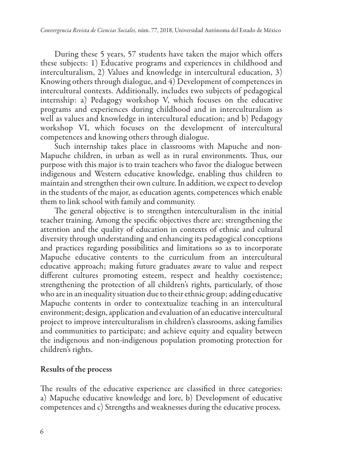During these 5 years, 57 students have taken the major which offers these subjects: 1) Educative programs and experiences in childhood and interculturalism, 2) Values and knowledge in intercultural education, 3) Knowing others through dialogue, and 4) Development of competences in intercultural contexts. Additionally, includes two subjects of pedagogical internship: a) Pedagogy workshop V, which focuses on the educative programs and experiences during childhood and in interculturalism as well as values and knowledge in intercultural education; and b) Pedagogy workshop VI, which focuses on the development of intercultural competences and knowing others through dialogue.

Such internship takes place in classrooms with Mapuche and non-Mapuche children, in urban as well as in rural environments. Thus, our purpose with this major is to train teachers who favor the dialogue between indigenous and Western educative knowledge, enabling thus children to maintain and strengthen their own culture. In addition, we expect to develop in the students of the major, as education agents, competences which enable them to link school with family and community.

The general objective is to strengthen interculturalism in the initial teacher training. Among the specific objectives there are: strengthening the attention and the quality of education in contexts of ethnic and cultural diversity through understanding and enhancing its pedagogical conceptions and practices regarding possibilities and limitations so as to incorporate Mapuche educative contents to the curriculum from an intercultural educative approach; making future graduates aware to value and respect different cultures promoting esteem, respect and healthy coexistence; strengthening the protection of all children's rights, particularly, of those who are in an inequality situation due to their ethnic group; adding educative Mapuche contents in order to contextualize teaching in an intercultural environment; design, application and evaluation of an educative intercultural project to improve interculturalism in children's classrooms, asking families and communities to participate; and achieve equity and equality between the indigenous and non-indigenous population promoting protection for children's rights.

### Results of the process

The results of the educative experience are classified in three categories: a) Mapuche educative knowledge and lore, b) Development of educative competences and c) Strengths and weaknesses during the educative process.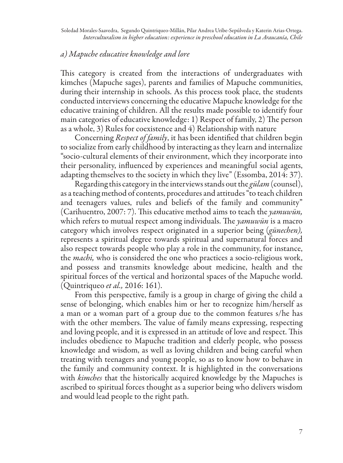Soledad Morales-Saavedra, Segundo Quintriqueo-Millán, Pilar Andrea Uribe-Sepúlveda y Katerin Arias-Ortega. *Interculturalism in higher education: experience in preschool education in La Araucanía, Chile*

#### *a) Mapuche educative knowledge and lore*

This category is created from the interactions of undergraduates with kimches (Mapuche sages), parents and families of Mapuche communities, during their internship in schools. As this process took place, the students conducted interviews concerning the educative Mapuche knowledge for the educative training of children. All the results made possible to identify four main categories of educative knowledge: 1) Respect of family, 2) The person as a whole, 3) Rules for coexistence and 4) Relationship with nature

Concerning *Respect of family*, it has been identified that children begin to socialize from early childhood by interacting as they learn and internalize "socio-cultural elements of their environment, which they incorporate into their personality, influenced by experiences and meaningful social agents, adapting themselves to the society in which they live" (Essomba, 2014: 37).

Regarding this category in the interviews stands out the *gülam* (counsel), as a teaching method of contents, procedures and attitudes "to teach children and teenagers values, rules and beliefs of the family and community" (Carihuentro, 2007: 7). This educative method aims to teach the *yamuwün,*  which refers to mutual respect among individuals. The *yamuwün* is a macro category which involves respect originated in a superior being (*günechen),* represents a spiritual degree towards spiritual and supernatural forces and also respect towards people who play a role in the community, for instance, the *machi,* who is considered the one who practices a socio-religious work, and possess and transmits knowledge about medicine, health and the spiritual forces of the vertical and horizontal spaces of the Mapuche world. (Quintriqueo *et al.,* 2016: 161).

From this perspective, family is a group in charge of giving the child a sense of belonging, which enables him or her to recognize him/herself as a man or a woman part of a group due to the common features s/he has with the other members. The value of family means expressing, respecting and loving people, and it is expressed in an attitude of love and respect. This includes obedience to Mapuche tradition and elderly people, who possess knowledge and wisdom, as well as loving children and being careful when treating with teenagers and young people, so as to know how to behave in the family and community context. It is highlighted in the conversations with *kimches* that the historically acquired knowledge by the Mapuches is ascribed to spiritual forces thought as a superior being who delivers wisdom and would lead people to the right path.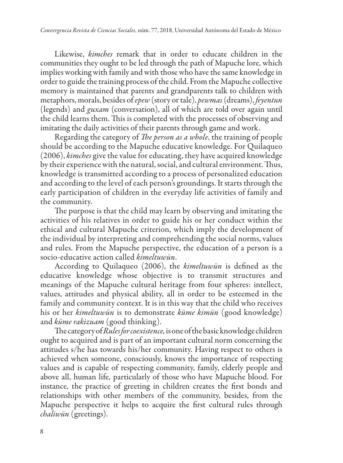Likewise, *kimches* remark that in order to educate children in the communities they ought to be led through the path of Mapuche lore, which implies working with family and with those who have the same knowledge in order to guide the training process of the child. From the Mapuche collective memory is maintained that parents and grandparents talk to children with metaphors, morals, besides of *epew* (story or tale), *pewmas* (dreams), *feyentun* (legends) and *guxam* (conversation), all of which are told over again until the child learns them. This is completed with the processes of observing and imitating the daily activities of their parents through game and work.

Regarding the category of *The person as a whole*, the training of people should be according to the Mapuche educative knowledge. For Quilaqueo (2006), *kimches* give the value for educating, they have acquired knowledge by their experience with the natural, social, and cultural environment. Thus, knowledge is transmitted according to a process of personalized education and according to the level of each person's groundings. It starts through the early participation of children in the everyday life activities of family and the community.

The purpose is that the child may learn by observing and imitating the activities of his relatives in order to guide his or her conduct within the ethical and cultural Mapuche criterion, which imply the development of the individual by interpreting and comprehending the social norms, values and rules. From the Mapuche perspective, the education of a person is a socio-educative action called *kimeltuwün*.

According to Quilaqueo (2006), the *kimeltuwün* is defined as the educative knowledge whose objective is to transmit structures and meanings of the Mapuche cultural heritage from four spheres: intellect, values, attitudes and physical ability, all in order to be esteemed in the family and community context. It is in this way that the child who receives his or her *kimeltuwün* is to demonstrate *küme kimün* (good knowledge) and *küme rakizuam* (good thinking).

The category of *Rules for coexistence,* is one of the basic knowledge children ought to acquired and is part of an important cultural norm concerning the attitudes s/he has towards his/her community. Having respect to others is achieved when someone, consciously, knows the importance of respecting values and is capable of respecting community, family, elderly people and above all, human life, particularly of those who have Mapuche blood. For instance, the practice of greeting in children creates the first bonds and relationships with other members of the community, besides, from the Mapuche perspective it helps to acquire the first cultural rules through *chaliwün* (greetings).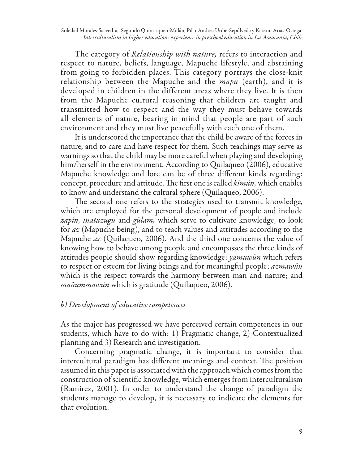Soledad Morales-Saavedra, Segundo Quintriqueo-Millán, Pilar Andrea Uribe-Sepúlveda y Katerin Arias-Ortega. *Interculturalism in higher education: experience in preschool education in La Araucanía, Chile*

The category of *Relationship with nature,* refers to interaction and respect to nature, beliefs, language, Mapuche lifestyle, and abstaining from going to forbidden places. This category portrays the close-knit relationship between the Mapuche and the *mapu* (earth), and it is developed in children in the different areas where they live. It is then from the Mapuche cultural reasoning that children are taught and transmitted how to respect and the way they must behave towards all elements of nature, bearing in mind that people are part of such environment and they must live peacefully with each one of them.

It is underscored the importance that the child be aware of the forces in nature, and to care and have respect for them. Such teachings may serve as warnings so that the child may be more careful when playing and developing him/herself in the environment. According to Quilaqueo (2006), educative Mapuche knowledge and lore can be of three different kinds regarding: concept, procedure and attitude. The first one is called *kimün,* which enables to know and understand the cultural sphere (Quilaqueo, 2006).

The second one refers to the strategies used to transmit knowledge, which are employed for the personal development of people and include *zapin, inatuzugu* and *gülam,* which serve to cultivate knowledge, to look for *az* (Mapuche being), and to teach values and attitudes according to the Mapuche *az* (Quilaqueo, 2006). And the third one concerns the value of knowing how to behave among people and encompasses the three kinds of attitudes people should show regarding knowledge: *yamuwün* which refers to respect or esteem for living beings and for meaningful people; *azmawün* which is the respect towards the harmony between man and nature; and *mañummawün* which is gratitude (Quilaqueo, 2006).

#### *b) Development of educative competences*

As the major has progressed we have perceived certain competences in our students, which have to do with: 1) Pragmatic change, 2) Contextualized planning and 3) Research and investigation.

Concerning pragmatic change, it is important to consider that intercultural paradigm has different meanings and context. The position assumed in this paper is associated with the approach which comes from the construction of scientific knowledge, which emerges from interculturalism (Ramírez, 2001). In order to understand the change of paradigm the students manage to develop, it is necessary to indicate the elements for that evolution.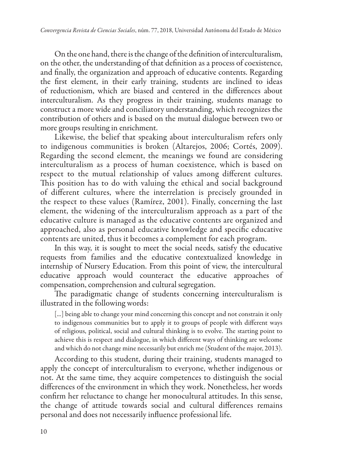On the one hand, there is the change of the definition of interculturalism, on the other, the understanding of that definition as a process of coexistence, and finally, the organization and approach of educative contents. Regarding the first element, in their early training, students are inclined to ideas of reductionism, which are biased and centered in the differences about interculturalism. As they progress in their training, students manage to construct a more wide and conciliatory understanding, which recognizes the contribution of others and is based on the mutual dialogue between two or more groups resulting in enrichment.

Likewise, the belief that speaking about interculturalism refers only to indigenous communities is broken (Altarejos, 2006; Cortés, 2009). Regarding the second element, the meanings we found are considering interculturalism as a process of human coexistence, which is based on respect to the mutual relationship of values among different cultures. This position has to do with valuing the ethical and social background of different cultures, where the interrelation is precisely grounded in the respect to these values (Ramírez, 2001). Finally, concerning the last element, the widening of the interculturalism approach as a part of the educative culture is managed as the educative contents are organized and approached, also as personal educative knowledge and specific educative contents are united, thus it becomes a complement for each program.

In this way, it is sought to meet the social needs, satisfy the educative requests from families and the educative contextualized knowledge in internship of Nursery Education. From this point of view, the intercultural educative approach would counteract the educative approaches of compensation, comprehension and cultural segregation.

The paradigmatic change of students concerning interculturalism is illustrated in the following words:

[...] being able to change your mind concerning this concept and not constrain it only to indigenous communities but to apply it to groups of people with different ways of religious, political, social and cultural thinking is to evolve. The starting point to achieve this is respect and dialogue, in which different ways of thinking are welcome and which do not change mine necessarily but enrich me (Student of the major, 2013).

According to this student, during their training, students managed to apply the concept of interculturalism to everyone, whether indigenous or not. At the same time, they acquire competences to distinguish the social differences of the environment in which they work. Nonetheless, her words confirm her reluctance to change her monocultural attitudes. In this sense, the change of attitude towards social and cultural differences remains personal and does not necessarily influence professional life.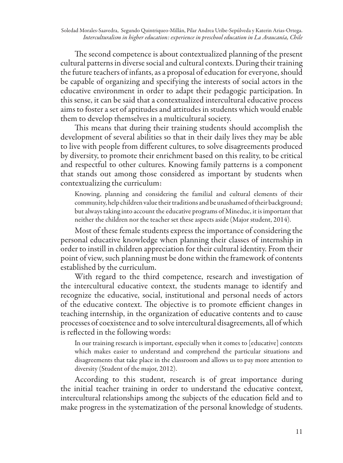The second competence is about contextualized planning of the present cultural patterns in diverse social and cultural contexts. During their training the future teachers of infants, as a proposal of education for everyone, should be capable of organizing and specifying the interests of social actors in the educative environment in order to adapt their pedagogic participation. In this sense, it can be said that a contextualized intercultural educative process aims to foster a set of aptitudes and attitudes in students which would enable them to develop themselves in a multicultural society.

This means that during their training students should accomplish the development of several abilities so that in their daily lives they may be able to live with people from different cultures, to solve disagreements produced by diversity, to promote their enrichment based on this reality, to be critical and respectful to other cultures. Knowing family patterns is a component that stands out among those considered as important by students when contextualizing the curriculum:

Knowing, planning and considering the familial and cultural elements of their community, help children value their traditions and be unashamed of their background; but always taking into account the educative programs of Mineduc, it is important that neither the children nor the teacher set these aspects aside (Major student, 2014).

Most of these female students express the importance of considering the personal educative knowledge when planning their classes of internship in order to instill in children appreciation for their cultural identity. From their point of view, such planning must be done within the framework of contents established by the curriculum.

With regard to the third competence, research and investigation of the intercultural educative context, the students manage to identify and recognize the educative, social, institutional and personal needs of actors of the educative context. The objective is to promote efficient changes in teaching internship, in the organization of educative contents and to cause processes of coexistence and to solve intercultural disagreements, all of which is reflected in the following words:

In our training research is important, especially when it comes to [educative] contexts which makes easier to understand and comprehend the particular situations and disagreements that take place in the classroom and allows us to pay more attention to diversity (Student of the major, 2012).

According to this student, research is of great importance during the initial teacher training in order to understand the educative context, intercultural relationships among the subjects of the education field and to make progress in the systematization of the personal knowledge of students.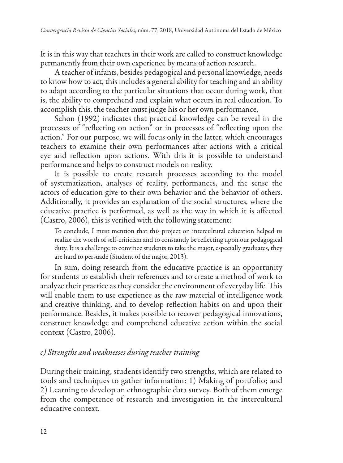It is in this way that teachers in their work are called to construct knowledge permanently from their own experience by means of action research.

A teacher of infants, besides pedagogical and personal knowledge, needs to know how to act, this includes a general ability for teaching and an ability to adapt according to the particular situations that occur during work, that is, the ability to comprehend and explain what occurs in real education. To accomplish this, the teacher must judge his or her own performance.

Schon (1992) indicates that practical knowledge can be reveal in the processes of "reflecting on action" or in processes of "reflecting upon the action." For our purpose, we will focus only in the latter, which encourages teachers to examine their own performances after actions with a critical eye and reflection upon actions. With this it is possible to understand performance and helps to construct models on reality.

It is possible to create research processes according to the model of systematization, analyses of reality, performances, and the sense the actors of education give to their own behavior and the behavior of others. Additionally, it provides an explanation of the social structures, where the educative practice is performed, as well as the way in which it is affected (Castro, 2006), this is verified with the following statement:

To conclude, I must mention that this project on intercultural education helped us realize the worth of self-criticism and to constantly be reflecting upon our pedagogical duty. It is a challenge to convince students to take the major, especially graduates, they are hard to persuade (Student of the major, 2013).

In sum, doing research from the educative practice is an opportunity for students to establish their references and to create a method of work to analyze their practice as they consider the environment of everyday life. This will enable them to use experience as the raw material of intelligence work and creative thinking, and to develop reflection habits on and upon their performance. Besides, it makes possible to recover pedagogical innovations, construct knowledge and comprehend educative action within the social context (Castro, 2006).

## *c) Strengths and weaknesses during teacher training*

During their training, students identify two strengths, which are related to tools and techniques to gather information: 1) Making of portfolio; and 2) Learning to develop an ethnographic data survey. Both of them emerge from the competence of research and investigation in the intercultural educative context.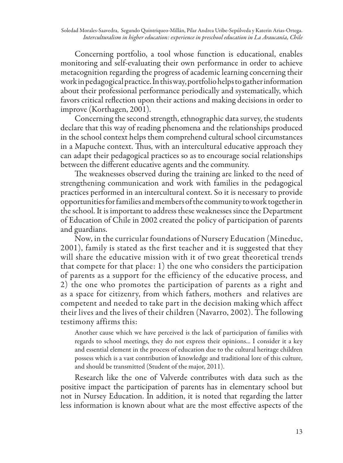Concerning portfolio, a tool whose function is educational, enables monitoring and self-evaluating their own performance in order to achieve metacognition regarding the progress of academic learning concerning their work in pedagogical practice. In this way, portfolio helps to gather information about their professional performance periodically and systematically, which favors critical reflection upon their actions and making decisions in order to improve (Korthagen, 2001).

Concerning the second strength, ethnographic data survey, the students declare that this way of reading phenomena and the relationships produced in the school context helps them comprehend cultural school circumstances in a Mapuche context. Thus, with an intercultural educative approach they can adapt their pedagogical practices so as to encourage social relationships between the different educative agents and the community.

The weaknesses observed during the training are linked to the need of strengthening communication and work with families in the pedagogical practices performed in an intercultural context. So it is necessary to provide opportunities for families and members of the community to work together in the school. It is important to address these weaknesses since the Department of Education of Chile in 2002 created the policy of participation of parents and guardians.

Now, in the curricular foundations of Nursery Education (Mineduc, 2001), family is stated as the first teacher and it is suggested that they will share the educative mission with it of two great theoretical trends that compete for that place: 1) the one who considers the participation of parents as a support for the efficiency of the educative process, and 2) the one who promotes the participation of parents as a right and as a space for citizenry, from which fathers, mothers and relatives are competent and needed to take part in the decision making which affect their lives and the lives of their children (Navarro, 2002). The following testimony affirms this:

Another cause which we have perceived is the lack of participation of families with regards to school meetings, they do not express their opinions... I consider it a key and essential element in the process of education due to the cultural heritage children possess which is a vast contribution of knowledge and traditional lore of this culture, and should be transmitted (Student of the major, 2011).

Research like the one of Valverde contributes with data such as the positive impact the participation of parents has in elementary school but not in Nursey Education. In addition, it is noted that regarding the latter less information is known about what are the most effective aspects of the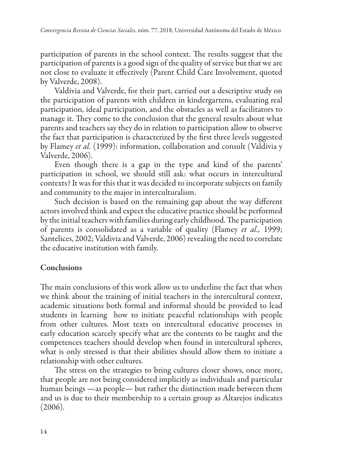participation of parents in the school context. The results suggest that the participation of parents is a good sign of the quality of service but that we are not close to evaluate it effectively (Parent Child Care Involvement, quoted by Valverde, 2008).

Valdivia and Valverde, for their part, carried out a descriptive study on the participation of parents with children in kindergartens, evaluating real participation, ideal participation, and the obstacles as well as facilitators to manage it. They come to the conclusion that the general results about what parents and teachers say they do in relation to participation allow to observe the fact that participation is characterized by the first three levels suggested by Flamey *et al.* (1999): information, collaboration and consult (Valdivia y Valverde, 2006).

Even though there is a gap in the type and kind of the parents' participation in school, we should still ask: what occurs in intercultural contexts? It was for this that it was decided to incorporate subjects on family and community to the major in interculturalism.

Such decision is based on the remaining gap about the way different actors involved think and expect the educative practice should be performed by the initial teachers with families during early childhood. The participation of parents is consolidated as a variable of quality (Flamey *et al.,* 1999; Santelices, 2002; Valdivia and Valverde, 2006) revealing the need to correlate the educative institution with family.

## Conclusions

The main conclusions of this work allow us to underline the fact that when we think about the training of initial teachers in the intercultural context, academic situations both formal and informal should be provided to lead students in learning how to initiate peaceful relationships with people from other cultures. Most texts on intercultural educative processes in early education scarcely specify what are the contents to be taught and the competences teachers should develop when found in intercultural spheres, what is only stressed is that their abilities should allow them to initiate a relationship with other cultures.

The stress on the strategies to bring cultures closer shows, once more, that people are not being considered implicitly as individuals and particular human beings —as people— but rather the distinction made between them and us is due to their membership to a certain group as Altarejos indicates (2006).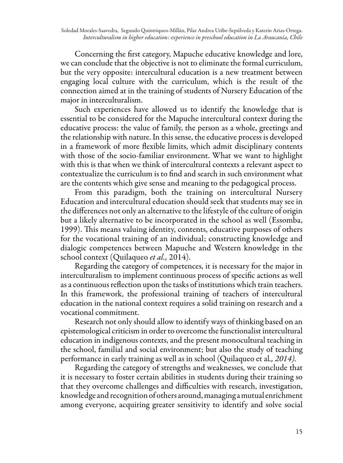Concerning the first category, Mapuche educative knowledge and lore, we can conclude that the objective is not to eliminate the formal curriculum, but the very opposite: intercultural education is a new treatment between engaging local culture with the curriculum, which is the result of the connection aimed at in the training of students of Nursery Education of the major in interculturalism.

Such experiences have allowed us to identify the knowledge that is essential to be considered for the Mapuche intercultural context during the educative process: the value of family, the person as a whole, greetings and the relationship with nature. In this sense, the educative process is developed in a framework of more flexible limits, which admit disciplinary contents with those of the socio-familiar environment. What we want to highlight with this is that when we think of intercultural contexts a relevant aspect to contextualize the curriculum is to find and search in such environment what are the contents which give sense and meaning to the pedagogical process.

From this paradigm, both the training on intercultural Nursery Education and intercultural education should seek that students may see in the differences not only an alternative to the lifestyle of the culture of origin but a likely alternative to be incorporated in the school as well (Essomba, 1999). This means valuing identity, contents, educative purposes of others for the vocational training of an individual; constructing knowledge and dialogic competences between Mapuche and Western knowledge in the school context (Quilaqueo *et al.,* 2014).

Regarding the category of competences, it is necessary for the major in interculturalism to implement continuous process of specific actions as well as a continuous reflection upon the tasks of institutions which train teachers. In this framework, the professional training of teachers of intercultural education in the national context requires a solid training on research and a vocational commitment.

Research not only should allow to identify ways of thinking based on an epistemological criticism in order to overcome the functionalist intercultural education in indigenous contexts, and the present monocultural teaching in the school, familial and social environment; but also the study of teaching performance in early training as well as in school (Quilaqueo et al*., 2014).*

Regarding the category of strengths and weaknesses, we conclude that it is necessary to foster certain abilities in students during their training so that they overcome challenges and difficulties with research, investigation, knowledge and recognition of others around, managing a mutual enrichment among everyone, acquiring greater sensitivity to identify and solve social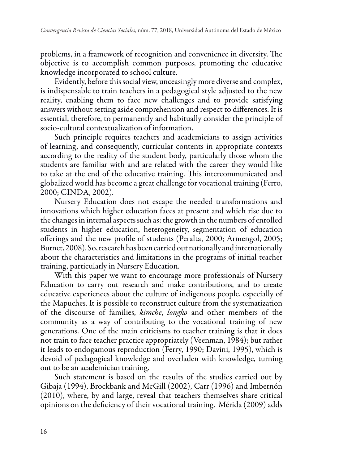problems, in a framework of recognition and convenience in diversity. The objective is to accomplish common purposes, promoting the educative knowledge incorporated to school culture.

Evidently, before this social view, unceasingly more diverse and complex, is indispensable to train teachers in a pedagogical style adjusted to the new reality, enabling them to face new challenges and to provide satisfying answers without setting aside comprehension and respect to differences. It is essential, therefore, to permanently and habitually consider the principle of socio-cultural contextualization of information.

Such principle requires teachers and academicians to assign activities of learning, and consequently, curricular contents in appropriate contexts according to the reality of the student body, particularly those whom the students are familiar with and are related with the career they would like to take at the end of the educative training. This intercommunicated and globalized world has become a great challenge for vocational training (Ferro, 2000; CINDA, 2002).

Nursery Education does not escape the needed transformations and innovations which higher education faces at present and which rise due to the changes in internal aspects such as: the growth in the numbers of enrolled students in higher education, heterogeneity, segmentation of education offerings and the new profile of students (Peralta, 2000; Armengol, 2005; Burnet, 2008). So, research has been carried out nationally and internationally about the characteristics and limitations in the programs of initial teacher training, particularly in Nursery Education.

With this paper we want to encourage more professionals of Nursery Education to carry out research and make contributions, and to create educative experiences about the culture of indigenous people, especially of the Mapuches. It is possible to reconstruct culture from the systematization of the discourse of families, *kimche*, *longko* and other members of the community as a way of contributing to the vocational training of new generations. One of the main criticisms to teacher training is that it does not train to face teacher practice appropriately (Veenman, 1984); but rather it leads to endogamous reproduction (Ferry, 1990; Davini, 1995), which is devoid of pedagogical knowledge and overladen with knowledge, turning out to be an academician training.

Such statement is based on the results of the studies carried out by Gibaja (1994), Brockbank and McGill (2002), Carr (1996) and Imbernón (2010), where, by and large, reveal that teachers themselves share critical opinions on the deficiency of their vocational training. Mérida (2009) adds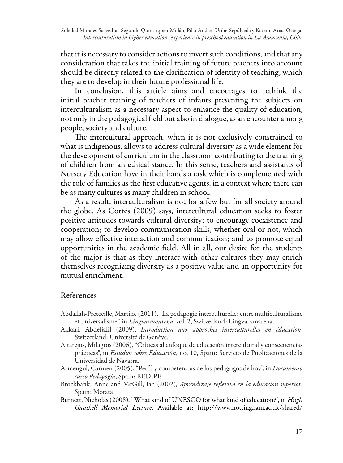that it is necessary to consider actions to invert such conditions, and that any consideration that takes the initial training of future teachers into account should be directly related to the clarification of identity of teaching, which they are to develop in their future professional life.

In conclusion, this article aims and encourages to rethink the initial teacher training of teachers of infants presenting the subjects on interculturalism as a necessary aspect to enhance the quality of education, not only in the pedagogical field but also in dialogue, as an encounter among people, society and culture.

The intercultural approach, when it is not exclusively constrained to what is indigenous, allows to address cultural diversity as a wide element for the development of curriculum in the classroom contributing to the training of children from an ethical stance. In this sense, teachers and assistants of Nursery Education have in their hands a task which is complemented with the role of families as the first educative agents, in a context where there can be as many cultures as many children in school.

As a result, interculturalism is not for a few but for all society around the globe. As Cortés (2009) says, intercultural education seeks to foster positive attitudes towards cultural diversity; to encourage coexistence and cooperation; to develop communication skills, whether oral or not, which may allow effective interaction and communication; and to promote equal opportunities in the academic field. All in all, our desire for the students of the major is that as they interact with other cultures they may enrich themselves recognizing diversity as a positive value and an opportunity for mutual enrichment.

### References

- Abdallah-Pretceille, Martine (2011), "La pedagogie interculturelle: entre multiculturalisme et universalisme", in *Lingvarvmarena*, vol. 2, Switzerland: Lingvarvmarena.
- Akkari, Abdeljalil (2009), *Introduction aux approches interculturelles en éducation*, Switzerland: Université de Genève.
- Altarejos, Milagros (2006), "Críticas al enfoque de educación intercultural y consecuencias prácticas", in *Estudios sobre Educación*, no. 10, Spain: Servicio de Publicaciones de la Universidad de Navarra.
- Armengol, Carmen (2005), "Perfil y competencias de los pedagogos de hoy", in *Documento curso Pedagogía*, Spain: REDIPE.
- Brockbank, Anne and McGill, Ian (2002), *Aprendizaje reflexivo en la educación superior*, Spain: Morata.
- Burnett, Nicholas (2008), "What kind of UNESCO for what kind of education?", in *Hugh Gaitskell Memorial Lecture*. Available at: http://www.nottingham.ac.uk/shared/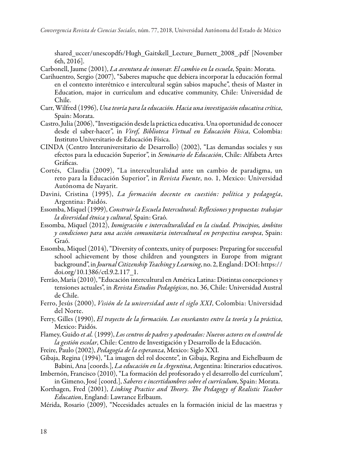shared\_uccer/unescopdfs/Hugh\_Gaitskell\_Lecture\_Burnett\_2008\_.pdf [November 6th, 2016].

Carbonell, Jaume (2001), *La aventura de innovar. El cambio en la escuela*, Spain: Morata.

- Carihuentro, Sergio (2007), "Saberes mapuche que debiera incorporar la educación formal en el contexto interétnico e intercultural según sabios mapuche", thesis of Master in Education, major in curriculum and educative community, Chile: Universidad de Chile.
- Carr, Wilfred (1996), *Una teoría para la educación. Hacia una investigación educativa crítica*, Spain: Morata.
- Castro, Julia (2006), "Investigación desde la práctica educativa. Una oportunidad de conocer desde el saber-hacer", in *Viref, Biblioteca Virtual en Educación Física*, Colombia: Instituto Universitario de Educación Física.
- CINDA (Centro Interuniversitario de Desarrollo) (2002), "Las demandas sociales y sus efectos para la educación Superior", in *Seminario de Educación*, Chile: Alfabeta Artes Gráficas.
- Cortés, Claudia (2009), "La interculturalidad ante un cambio de paradigma, un reto para la Educación Superior", in *Revista Fuente*, no. 1, Mexico: Universidad Autónoma de Nayarit.
- Davini, Cristina (1995), *La formación docente en cuestión: política y pedagogía*, Argentina: Paidós.
- Essomba, Miquel (1999), *Construir la Escuela Intercultural: Reflexiones y propuestas trabajar la diversidad étnica y cultural*, Spain: Graó.
- Essomba, Miquel (2012), *Inmigración e interculturalidad en la ciudad. Principios, ámbitos y condiciones para una acción comunitaria intercultural en perspectiva europea*, Spain: Graó.
- Essomba, Miquel (2014), "Diversity of contexts, unity of purposes: Preparing for successful school achievement by those children and youngsters in Europe from migrant background", in *Journal Citizenship Teaching y Learning*, no. 2, England: DOI: https:// doi.org/10.1386/ctl.9.2.117\_1.
- Ferrão, María (2010), "Educación intercultural en América Latina: Distintas concepciones y tensiones actuales", in *Revista Estudios Pedagógicos*, no. 36, Chile: Universidad Austral de Chile.
- Ferro, Jesús (2000), *Visión de la universidad ante el siglo XXI*, Colombia: Universidad del Norte.
- Ferry, Gilles (1990), *El trayecto de la formación. Los enseñantes entre la teoría y la práctica*, Mexico: Paidós.
- Flamey, Guido *et al.* (1999), *Los centros de padres y apoderados: Nuevos actores en el control de la gestión escolar*, Chile: Centro de Investigación y Desarrollo de la Educación.
- Freire, Paulo (2002), *Pedagogía de la esperanza*, Mexico: Siglo XXI.
- Gibaja, Regina (1994), "La imagen del rol docente", in Gibaja, Regina and Eichelbaum de Babini, Ana [coords.], *La educación en la Argentina*, Argentina: Itinerarios educativos.
- Imbernón, Francisco (2010), "La formación del profesorado y el desarrollo del currículum", in Gimeno, José [coord.], *Saberes e incertidumbres sobre el currículum*, Spain: Morata.
- Korthagen, Fred (2001), *Linking Practice and Theory. The Pedagogy of Realistic Teacher Education*, England: Lawrance Erlbaum.
- Mérida, Rosario (2009), "Necesidades actuales en la formación inicial de las maestras y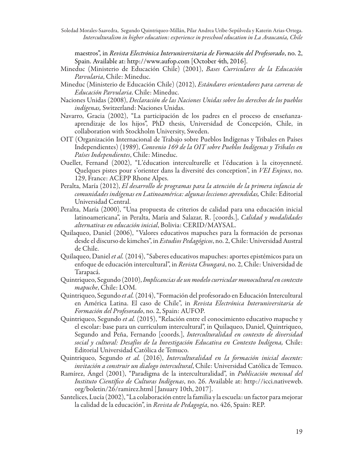Soledad Morales-Saavedra, Segundo Quintriqueo-Millán, Pilar Andrea Uribe-Sepúlveda y Katerin Arias-Ortega. *Interculturalism in higher education: experience in preschool education in La Araucanía, Chile*

maestros", in *Revista Electrónica Interuniversitaria de Formación del Profesorado*, no. 2, Spain. Available at: http://www.aufop.com [October 4th, 2016].

- Mineduc (Ministerio de Educación Chile) (2001), *Bases Curriculares de la Educación Parvularia*, Chile: Mineduc.
- Mineduc (Ministerio de Educación Chile) (2012), *Estándares orientadores para carreras de Educación Parvularia*. Chile: Mineduc.
- Naciones Unidas (2008), *Declaración de las Naciones Unidas sobre los derechos de los pueblos indígenas,* Switzerland: Naciones Unidas.
- Navarro, Gracia (2002), "La participación de los padres en el proceso de enseñanzaaprendizaje de los hijos", PhD thesis, Universidad de Concepción, Chile, in collaboration with Stockholm University, Sweden.
- OIT (Organización Internacional de Trabajo sobre Pueblos Indígenas y Tribales en Países Independientes) (1989), *Convenio 169 de la OIT sobre Pueblos Indígenas y Tribales en Países Independientes*, Chile: Mineduc.
- Ouellet, Fernand (2002), "L'éducation interculturelle et l'éducation à la citoyenneté. Quelques pistes pour s'orienter dans la diversité des conception", in *VEI Enjeux*, no. 129, France: ACEPP Rhone Alpes.
- Peralta, María (2012), *El desarrollo de programas para la atención de la primera infancia de comunidades indígenas en Latinoamérica: algunas lecciones aprendidas,* Chile: Editorial Universidad Central.
- Peralta, María (2000), "Una propuesta de criterios de calidad para una educación inicial latinoamericana", in Peralta, María and Salazar, R. [coords.], *Calidad y modalidades alternativas en educación inicial*, Bolivia: CERID/MAYSAL.
- Quilaqueo, Daniel (2006), "Valores educativos mapuches para la formación de personas desde el discurso de kimches", in *Estudios Pedagógicos*, no. 2, Chile: Universidad Austral de Chile.
- Quilaqueo, Daniel *et al.* (2014), "Saberes educativos mapuches: aportes epistémicos para un enfoque de educación intercultural", in *Revista Chungará*, no. 2, Chile: Universidad de Tarapacá.
- Quintriqueo, Segundo (2010), *Implicancias de un modelo curricular monocultural en contexto mapuche*, Chile: LOM.
- Quintriqueo, Segundo *et al.* (2014), "Formación del profesorado en Educación Intercultural en América Latina. El caso de Chile", in *Revista Electrónica Interuniversitaria de Formación del Profesorado*, no. 2, Spain: AUFOP.
- Quintriqueo, Segundo *et al.* (2015), "Relación entre el conocimiento educativo mapuche y el escolar: base para un currículum intercultural", in Quilaqueo, Daniel, Quintriqueo, Segundo and Peña, Fernando [coords.], *Interculturalidad en contexto de diversidad social y cultural: Desafíos de la Investigación Educativa en Contexto Indígena,* Chile: Editorial Universidad Católica de Temuco.
- Quintriqueo, Segundo *et al.* (2016), *Interculturalidad en la formación inicial docente: invitación a construir un dialogo intercultural*, Chile: Universidad Católica de Temuco.
- Ramírez, Ángel (2001), "Paradigma de la interculturalidad", in *Publicación mensual del Instituto Científico de Culturas Indígenas*, no. 26. Available at: http://icci.nativeweb. org/boletin/26/ramirez.html [ January 10th, 2017].
- Santelices, Lucía (2002), "La colaboración entre la familia y la escuela: un factor para mejorar la calidad de la educación", in *Revista de Pedagogía*, no. 426, Spain: REP.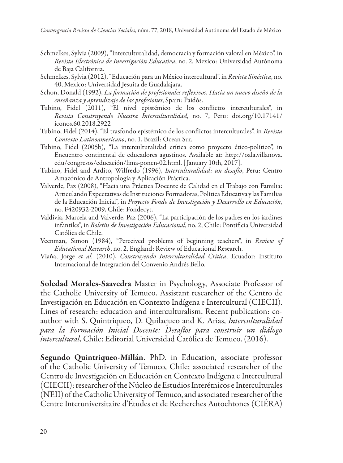- Schmelkes, Sylvia (2009), "Interculturalidad, democracia y formación valoral en México", in *Revista Electrónica de Investigación Educativa*, no. 2, Mexico: Universidad Autónoma de Baja California.
- Schmelkes, Sylvia (2012), "Educación para un México intercultural", in *Revista Sinéctica*, no. 40, Mexico: Universidad Jesuita de Guadalajara.
- Schon, Donald (1992), *La formación de profesionales reflexivos. Hacia un nuevo diseño de la enseñanza y aprendizaje de las profesiones*, Spain: Paidós.
- Tubino, Fidel (2011), "El nivel epistémico de los conflictos interculturales", in *Revista Construyendo Nuestra Interculturalidad*, no. 7, Peru: doi.org/10.17141/ iconos.60.2018.2922
- Tubino, Fidel (2014), "El trasfondo epistémico de los conflictos interculturales", in *Revista Contexto Latinoamericano*, no. 1, Brazil: Ocean Sur.
- Tubino, Fidel (2005b), "La interculturalidad crítica como proyecto ético-político", in Encuentro continental de educadores agustinos. Available at: http://oala.villanova. edu/congresos/educación/lima-ponen-02.html. [ January 10th, 2017].
- Tubino, Fidel and Ardito, Wilfredo (1996), *Interculturalidad: un desafío*, Peru: Centro Amazónico de Antropología y Aplicación Práctica.
- Valverde, Paz (2008), "Hacia una Práctica Docente de Calidad en el Trabajo con Familia: Articulando Expectativas de Instituciones Formadoras, Política Educativa y las Familias de la Educación Inicial", in *Proyecto Fondo de Investigación y Desarrollo en Educación*, no. F420932-2009, Chile: Fondecyt.
- Valdivia, Marcela and Valverde, Paz (2006), "La participación de los padres en los jardines infantiles", in *Boletín de Investigación Educacional*, no. 2, Chile: Pontificia Universidad Católica de Chile.
- Veenman, Simon (1984), "Perceived problems of beginning teachers", in *Review of Educational Research*, no. 2, England: Review of Educational Research.
- Viaña, Jorge *et al.* (2010), *Construyendo Interculturalidad Crítica*, Ecuador: Instituto Internacional de Integración del Convenio Andrés Bello.

Soledad Morales-Saavedra Master in Psychology, Associate Professor of the Catholic University of Temuco. Assistant researcher of the Centro de Investigación en Educación en Contexto Indígena e Intercultural (CIECII). Lines of research: education and interculturalism. Recent publication: coauthor with S. Quintriqueo, D. Quilaqueo and K. Arias, *Interculturalidad para la Formación Inicial Docente: Desafíos para construir un diálogo intercultural*, Chile: Editorial Universidad Católica de Temuco. (2016).

Segundo Quintriqueo-Millán. PhD. in Education, associate professor of the Catholic University of Temuco, Chile; associated researcher of the Centro de Investigación en Educación en Contexto Indígena e Intercultural (CIECII); researcher of the Núcleo de Estudios Interétnicos e Interculturales (NEII) of the Catholic University of Temuco, and associated researcher of the Centre Interuniversitaire d'Études et de Recherches Autochtones (CIÉRA)